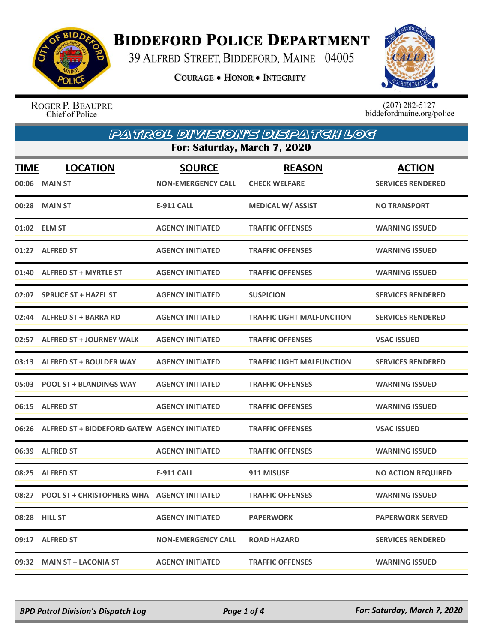

## **BIDDEFORD POLICE DEPARTMENT**

39 ALFRED STREET, BIDDEFORD, MAINE 04005

**COURAGE . HONOR . INTEGRITY** 



ROGER P. BEAUPRE<br>Chief of Police

 $(207)$  282-5127<br>biddefordmaine.org/police

| PATROL DIVISIONYS DISPATCH LOG |                                                    |                                            |                                       |                                           |  |
|--------------------------------|----------------------------------------------------|--------------------------------------------|---------------------------------------|-------------------------------------------|--|
|                                | For: Saturday, March 7, 2020                       |                                            |                                       |                                           |  |
| TIME                           | <b>LOCATION</b><br>00:06 MAIN ST                   | <b>SOURCE</b><br><b>NON-EMERGENCY CALL</b> | <b>REASON</b><br><b>CHECK WELFARE</b> | <b>ACTION</b><br><b>SERVICES RENDERED</b> |  |
|                                | 00:28 MAIN ST                                      | E-911 CALL                                 | <b>MEDICAL W/ ASSIST</b>              | <b>NO TRANSPORT</b>                       |  |
|                                | 01:02 ELM ST                                       | <b>AGENCY INITIATED</b>                    | <b>TRAFFIC OFFENSES</b>               | <b>WARNING ISSUED</b>                     |  |
|                                | 01:27 ALFRED ST                                    | <b>AGENCY INITIATED</b>                    | <b>TRAFFIC OFFENSES</b>               | <b>WARNING ISSUED</b>                     |  |
|                                | 01:40 ALFRED ST + MYRTLE ST                        | <b>AGENCY INITIATED</b>                    | <b>TRAFFIC OFFENSES</b>               | <b>WARNING ISSUED</b>                     |  |
|                                | 02:07 SPRUCE ST + HAZEL ST                         | <b>AGENCY INITIATED</b>                    | <b>SUSPICION</b>                      | <b>SERVICES RENDERED</b>                  |  |
|                                | 02:44 ALFRED ST + BARRA RD                         | <b>AGENCY INITIATED</b>                    | <b>TRAFFIC LIGHT MALFUNCTION</b>      | <b>SERVICES RENDERED</b>                  |  |
|                                | 02:57 ALFRED ST + JOURNEY WALK                     | <b>AGENCY INITIATED</b>                    | <b>TRAFFIC OFFENSES</b>               | <b>VSAC ISSUED</b>                        |  |
|                                | 03:13 ALFRED ST + BOULDER WAY                      | <b>AGENCY INITIATED</b>                    | <b>TRAFFIC LIGHT MALFUNCTION</b>      | <b>SERVICES RENDERED</b>                  |  |
|                                | 05:03 POOL ST + BLANDINGS WAY                      | <b>AGENCY INITIATED</b>                    | <b>TRAFFIC OFFENSES</b>               | <b>WARNING ISSUED</b>                     |  |
|                                | 06:15 ALFRED ST                                    | <b>AGENCY INITIATED</b>                    | <b>TRAFFIC OFFENSES</b>               | <b>WARNING ISSUED</b>                     |  |
|                                | 06:26 ALFRED ST + BIDDEFORD GATEW AGENCY INITIATED |                                            | <b>TRAFFIC OFFENSES</b>               | <b>VSAC ISSUED</b>                        |  |
|                                | 06:39 ALFRED ST                                    | <b>AGENCY INITIATED</b>                    | <b>TRAFFIC OFFENSES</b>               | <b>WARNING ISSUED</b>                     |  |
|                                | 08:25 ALFRED ST                                    | <b>E-911 CALL</b>                          | 911 MISUSE                            | <b>NO ACTION REQUIRED</b>                 |  |
|                                |                                                    |                                            | <b>TRAFFIC OFFENSES</b>               | <b>WARNING ISSUED</b>                     |  |
|                                | 08:28 HILL ST                                      | <b>AGENCY INITIATED</b>                    | <b>PAPERWORK</b>                      | <b>PAPERWORK SERVED</b>                   |  |
|                                | 09:17 ALFRED ST                                    | <b>NON-EMERGENCY CALL</b>                  | <b>ROAD HAZARD</b>                    | <b>SERVICES RENDERED</b>                  |  |
| 09:32                          | <b>MAIN ST + LACONIA ST</b>                        | <b>AGENCY INITIATED</b>                    | <b>TRAFFIC OFFENSES</b>               | <b>WARNING ISSUED</b>                     |  |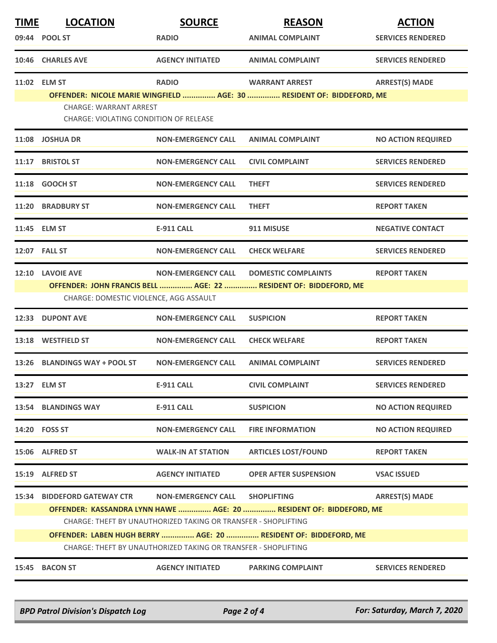| <b>TIME</b> | <b>LOCATION</b>                                                                                                                   | <b>SOURCE</b>                                                  | <b>REASON</b>                                                         | <b>ACTION</b>             |  |
|-------------|-----------------------------------------------------------------------------------------------------------------------------------|----------------------------------------------------------------|-----------------------------------------------------------------------|---------------------------|--|
|             | 09:44 POOL ST                                                                                                                     | <b>RADIO</b>                                                   | <b>ANIMAL COMPLAINT</b>                                               | <b>SERVICES RENDERED</b>  |  |
|             | 10:46 CHARLES AVE                                                                                                                 | <b>AGENCY INITIATED</b>                                        | <b>ANIMAL COMPLAINT</b>                                               | <b>SERVICES RENDERED</b>  |  |
|             | 11:02 ELM ST                                                                                                                      | <b>RADIO</b>                                                   | <b>WARRANT ARREST</b>                                                 | <b>ARREST(S) MADE</b>     |  |
|             |                                                                                                                                   |                                                                | OFFENDER: NICOLE MARIE WINGFIELD  AGE: 30  RESIDENT OF: BIDDEFORD, ME |                           |  |
|             | <b>CHARGE: WARRANT ARREST</b><br><b>CHARGE: VIOLATING CONDITION OF RELEASE</b>                                                    |                                                                |                                                                       |                           |  |
|             | 11:08 JOSHUA DR                                                                                                                   | <b>NON-EMERGENCY CALL</b>                                      | <b>ANIMAL COMPLAINT</b>                                               | <b>NO ACTION REQUIRED</b> |  |
|             | 11:17 BRISTOL ST                                                                                                                  | <b>NON-EMERGENCY CALL</b>                                      | <b>CIVIL COMPLAINT</b>                                                | <b>SERVICES RENDERED</b>  |  |
|             | 11:18 GOOCH ST                                                                                                                    | <b>NON-EMERGENCY CALL</b>                                      | <b>THEFT</b>                                                          | <b>SERVICES RENDERED</b>  |  |
|             | 11:20 BRADBURY ST                                                                                                                 | <b>NON-EMERGENCY CALL</b>                                      | <b>THEFT</b>                                                          | <b>REPORT TAKEN</b>       |  |
|             | 11:45 ELM ST                                                                                                                      | <b>E-911 CALL</b>                                              | 911 MISUSE                                                            | <b>NEGATIVE CONTACT</b>   |  |
|             | 12:07 FALL ST                                                                                                                     | <b>NON-EMERGENCY CALL</b>                                      | <b>CHECK WELFARE</b>                                                  | <b>SERVICES RENDERED</b>  |  |
|             | 12:10 LAVOIE AVE                                                                                                                  | <b>NON-EMERGENCY CALL</b>                                      | <b>DOMESTIC COMPLAINTS</b>                                            | <b>REPORT TAKEN</b>       |  |
|             |                                                                                                                                   |                                                                | OFFENDER: JOHN FRANCIS BELL  AGE: 22  RESIDENT OF: BIDDEFORD, ME      |                           |  |
|             | CHARGE: DOMESTIC VIOLENCE, AGG ASSAULT                                                                                            |                                                                |                                                                       |                           |  |
| 12:33       | <b>DUPONT AVE</b>                                                                                                                 | <b>NON-EMERGENCY CALL</b>                                      | <b>SUSPICION</b>                                                      | <b>REPORT TAKEN</b>       |  |
|             | 13:18 WESTFIELD ST                                                                                                                | <b>NON-EMERGENCY CALL</b>                                      | <b>CHECK WELFARE</b>                                                  | <b>REPORT TAKEN</b>       |  |
| 13:26       | <b>BLANDINGS WAY + POOL ST</b>                                                                                                    | <b>NON-EMERGENCY CALL</b>                                      | <b>ANIMAL COMPLAINT</b>                                               | <b>SERVICES RENDERED</b>  |  |
|             | 13:27 ELM ST                                                                                                                      | <b>E-911 CALL</b>                                              | <b>CIVIL COMPLAINT</b>                                                | <b>SERVICES RENDERED</b>  |  |
|             | 13:54 BLANDINGS WAY                                                                                                               | E-911 CALL                                                     | <b>SUSPICION</b>                                                      | <b>NO ACTION REQUIRED</b> |  |
|             | 14:20 FOSS ST                                                                                                                     | <b>NON-EMERGENCY CALL</b>                                      | <b>FIRE INFORMATION</b>                                               | <b>NO ACTION REQUIRED</b> |  |
|             | 15:06 ALFRED ST                                                                                                                   | <b>WALK-IN AT STATION</b>                                      | <b>ARTICLES LOST/FOUND</b>                                            | <b>REPORT TAKEN</b>       |  |
|             | 15:19 ALFRED ST                                                                                                                   | <b>AGENCY INITIATED</b>                                        | <b>OPER AFTER SUSPENSION</b>                                          | <b>VSAC ISSUED</b>        |  |
| 15:34       | <b>BIDDEFORD GATEWAY CTR</b>                                                                                                      | <b>NON-EMERGENCY CALL</b>                                      | <b>SHOPLIFTING</b>                                                    | <b>ARREST(S) MADE</b>     |  |
|             |                                                                                                                                   | CHARGE: THEFT BY UNAUTHORIZED TAKING OR TRANSFER - SHOPLIFTING | OFFENDER: KASSANDRA LYNN HAWE  AGE: 20  RESIDENT OF: BIDDEFORD, ME    |                           |  |
|             |                                                                                                                                   |                                                                |                                                                       |                           |  |
|             | OFFENDER: LABEN HUGH BERRY  AGE: 20  RESIDENT OF: BIDDEFORD, ME<br>CHARGE: THEFT BY UNAUTHORIZED TAKING OR TRANSFER - SHOPLIFTING |                                                                |                                                                       |                           |  |
| 15:45       | <b>BACON ST</b>                                                                                                                   | <b>AGENCY INITIATED</b>                                        | <b>PARKING COMPLAINT</b>                                              | <b>SERVICES RENDERED</b>  |  |
|             |                                                                                                                                   |                                                                |                                                                       |                           |  |

*BPD Patrol Division's Dispatch Log Page 2 of 4 For: Saturday, March 7, 2020*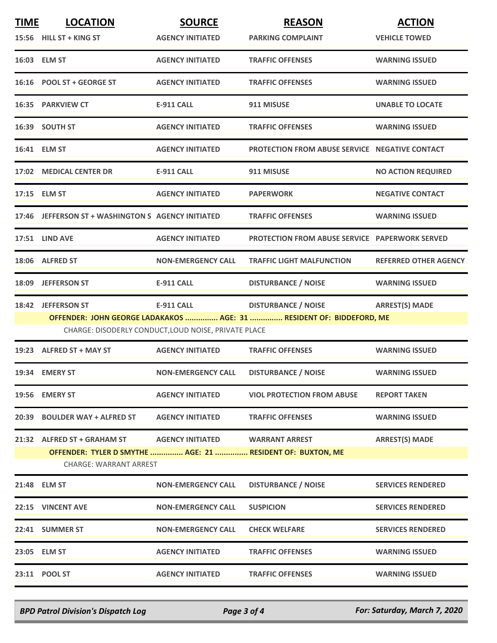| <b>TIME</b> | <b>LOCATION</b>                                                                             | <b>SOURCE</b>                                        | <b>REASON</b>                                                        | <b>ACTION</b>                |
|-------------|---------------------------------------------------------------------------------------------|------------------------------------------------------|----------------------------------------------------------------------|------------------------------|
|             | 15:56 HILL ST + KING ST                                                                     | <b>AGENCY INITIATED</b>                              | <b>PARKING COMPLAINT</b>                                             | <b>VEHICLE TOWED</b>         |
|             | 16:03 ELM ST                                                                                | <b>AGENCY INITIATED</b>                              | <b>TRAFFIC OFFENSES</b>                                              | <b>WARNING ISSUED</b>        |
|             | 16:16 POOL ST + GEORGE ST                                                                   | <b>AGENCY INITIATED</b>                              | <b>TRAFFIC OFFENSES</b>                                              | <b>WARNING ISSUED</b>        |
|             | <b>16:35 PARKVIEW CT</b>                                                                    | E-911 CALL                                           | 911 MISUSE                                                           | <b>UNABLE TO LOCATE</b>      |
|             | 16:39 SOUTH ST                                                                              | <b>AGENCY INITIATED</b>                              | <b>TRAFFIC OFFENSES</b>                                              | <b>WARNING ISSUED</b>        |
|             | 16:41 ELM ST                                                                                | <b>AGENCY INITIATED</b>                              | PROTECTION FROM ABUSE SERVICE NEGATIVE CONTACT                       |                              |
|             | 17:02 MEDICAL CENTER DR                                                                     | <b>E-911 CALL</b>                                    | 911 MISUSE                                                           | <b>NO ACTION REQUIRED</b>    |
|             | 17:15 ELM ST                                                                                | <b>AGENCY INITIATED</b>                              | <b>PAPERWORK</b>                                                     | <b>NEGATIVE CONTACT</b>      |
|             | 17:46 JEFFERSON ST + WASHINGTON S AGENCY INITIATED                                          |                                                      | <b>TRAFFIC OFFENSES</b>                                              | <b>WARNING ISSUED</b>        |
|             | 17:51 LIND AVE                                                                              | <b>AGENCY INITIATED</b>                              | <b>PROTECTION FROM ABUSE SERVICE PAPERWORK SERVED</b>                |                              |
|             | 18:06 ALFRED ST                                                                             | <b>NON-EMERGENCY CALL</b>                            | <b>TRAFFIC LIGHT MALFUNCTION</b>                                     | <b>REFERRED OTHER AGENCY</b> |
|             | 18:09 JEFFERSON ST                                                                          | <b>E-911 CALL</b>                                    | <b>DISTURBANCE / NOISE</b>                                           | <b>WARNING ISSUED</b>        |
|             | 18:42 JEFFERSON ST                                                                          | <b>E-911 CALL</b>                                    | <b>DISTURBANCE / NOISE</b>                                           | <b>ARREST(S) MADE</b>        |
|             |                                                                                             | CHARGE: DISODERLY CONDUCT, LOUD NOISE, PRIVATE PLACE | OFFENDER: JOHN GEORGE LADAKAKOS  AGE: 31  RESIDENT OF: BIDDEFORD, ME |                              |
|             | 19:23 ALFRED ST + MAY ST                                                                    | <b>AGENCY INITIATED</b>                              | <b>TRAFFIC OFFENSES</b>                                              | <b>WARNING ISSUED</b>        |
|             | 19:34 EMERY ST                                                                              | <b>NON-EMERGENCY CALL</b>                            | <b>DISTURBANCE / NOISE</b>                                           | <b>WARNING ISSUED</b>        |
|             | 19:56 EMERY ST                                                                              | <b>AGENCY INITIATED</b>                              | <b>VIOL PROTECTION FROM ABUSE</b>                                    | <b>REPORT TAKEN</b>          |
|             | 20:39 BOULDER WAY + ALFRED ST                                                               | <b>AGENCY INITIATED</b>                              | <b>TRAFFIC OFFENSES</b>                                              | <b>WARNING ISSUED</b>        |
|             | 21:32 ALFRED ST + GRAHAM ST                                                                 | AGENCY INITIATED WARRANT ARREST                      |                                                                      | <b>ARREST(S) MADE</b>        |
|             | OFFENDER: TYLER D SMYTHE  AGE: 21  RESIDENT OF: BUXTON, ME<br><b>CHARGE: WARRANT ARREST</b> |                                                      |                                                                      |                              |
|             | 21:48 ELM ST                                                                                | <b>NON-EMERGENCY CALL</b>                            | <b>DISTURBANCE / NOISE</b>                                           | <b>SERVICES RENDERED</b>     |
|             | 22:15 VINCENT AVE                                                                           | <b>NON-EMERGENCY CALL</b>                            | <b>SUSPICION</b>                                                     | <b>SERVICES RENDERED</b>     |
|             | 22:41 SUMMER ST                                                                             | <b>NON-EMERGENCY CALL</b>                            | <b>CHECK WELFARE</b>                                                 | <b>SERVICES RENDERED</b>     |
|             | 23:05 ELM ST                                                                                | <b>AGENCY INITIATED</b>                              | <b>TRAFFIC OFFENSES</b>                                              | <b>WARNING ISSUED</b>        |
|             | 23:11 POOL ST                                                                               | <b>AGENCY INITIATED</b>                              | <b>TRAFFIC OFFENSES</b>                                              | <b>WARNING ISSUED</b>        |
|             |                                                                                             |                                                      |                                                                      |                              |

*BPD Patrol Division's Dispatch Log Page 3 of 4 For: Saturday, March 7, 2020*